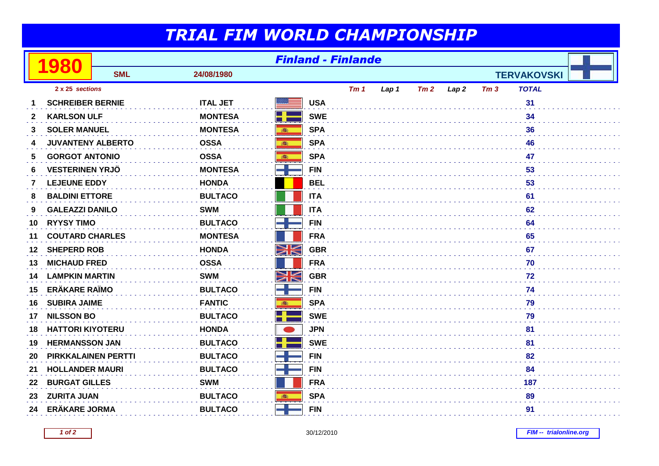## *TRIAL FIM WORLD CHAMPIONSHIP*

|              | 980                        | <b>Finland - Finlande</b> |                 |               |                 |       |     |      |                 |                    |  |
|--------------|----------------------------|---------------------------|-----------------|---------------|-----------------|-------|-----|------|-----------------|--------------------|--|
|              |                            | <b>SML</b>                | 24/08/1980      |               |                 |       |     |      |                 | <b>TERVAKOVSKI</b> |  |
|              | 2 x 25 sections            |                           |                 |               | Tm <sub>1</sub> | Lap 1 | Tm2 | Lap2 | Tm <sub>3</sub> | <b>TOTAL</b>       |  |
| 1            | <b>SCHREIBER BERNIE</b>    |                           | <b>ITAL JET</b> |               | <b>USA</b>      |       |     |      |                 | 31                 |  |
| $\mathbf{2}$ | <b>KARLSON ULF</b>         |                           | <b>MONTESA</b>  | ╉             | <b>SWE</b>      |       |     |      |                 | 34                 |  |
| 3            | <b>SOLER MANUEL</b>        |                           | <b>MONTESA</b>  | 6             | <b>SPA</b>      |       |     |      |                 | 36                 |  |
| 4            | <b>JUVANTENY ALBERTO</b>   |                           | <b>OSSA</b>     | 高             | <b>SPA</b>      |       |     |      |                 | 46                 |  |
| 5            | <b>GORGOT ANTONIO</b>      |                           | <b>OSSA</b>     |               | <b>SPA</b>      |       |     |      |                 | 47                 |  |
| 6            | <b>VESTERINEN YRJÖ</b>     |                           | <b>MONTESA</b>  |               | <b>FIN</b>      |       |     |      |                 | 53                 |  |
| 7            | <b>LEJEUNE EDDY</b>        |                           | <b>HONDA</b>    |               | <b>BEL</b>      |       |     |      |                 | 53                 |  |
| 8            | <b>BALDINI ETTORE</b>      |                           | <b>BULTACO</b>  |               | <b>ITA</b>      |       |     |      |                 | 61                 |  |
| 9            | <b>GALEAZZI DANILO</b>     |                           | <b>SWM</b>      |               | <b>ITA</b>      |       |     |      |                 | 62                 |  |
| 10           | <b>RYYSY TIMO</b>          |                           | <b>BULTACO</b>  | $\rightarrow$ | <b>FIN</b>      |       |     |      |                 | 64                 |  |
| 11           | <b>COUTARD CHARLES</b>     |                           | <b>MONTESA</b>  |               | <b>FRA</b>      |       |     |      |                 | 65                 |  |
| 12           | <b>SHEPERD ROB</b>         |                           | <b>HONDA</b>    | N<br>ZK       | <b>GBR</b>      |       |     |      |                 | 67                 |  |
| 13           | <b>MICHAUD FRED</b>        |                           | <b>OSSA</b>     |               | <b>FRA</b>      |       |     |      |                 | 70                 |  |
| 14           | <b>LAMPKIN MARTIN</b>      |                           | <b>SWM</b>      | NK<br>Ak      | <b>GBR</b>      |       |     |      |                 | 72                 |  |
| 15           | <b>ERÄKARE RAÏMO</b>       |                           | <b>BULTACO</b>  | كان           | <b>FIN</b>      |       |     |      |                 | 74                 |  |
| 16           | <b>SUBIRA JAIME</b>        |                           | <b>FANTIC</b>   | 高             | <b>SPA</b>      |       |     |      |                 | 79                 |  |
| 17           | <b>NILSSON BO</b>          |                           | <b>BULTACO</b>  | 25            | <b>SWE</b>      |       |     |      |                 | 79                 |  |
| 18           | <b>HATTORI KIYOTERU</b>    |                           | <b>HONDA</b>    |               | <b>JPN</b>      |       |     |      |                 | 81                 |  |
| 19           | <b>HERMANSSON JAN</b>      |                           | <b>BULTACO</b>  | ╉             | <b>SWE</b>      |       |     |      |                 | 81                 |  |
| 20           | <b>PIRKKALAINEN PERTTI</b> |                           | <b>BULTACO</b>  |               | <b>FIN</b>      |       |     |      |                 | 82                 |  |
| 21           | <b>HOLLANDER MAURI</b>     |                           | <b>BULTACO</b>  |               | <b>FIN</b>      |       |     |      |                 | 84                 |  |
| 22           | <b>BURGAT GILLES</b>       |                           | <b>SWM</b>      |               | <b>FRA</b>      |       |     |      |                 | 187                |  |
| 23           | <b>ZURITA JUAN</b>         |                           | <b>BULTACO</b>  |               | <b>SPA</b>      |       |     |      |                 | 89                 |  |
| 24           | <b>ERÄKARE JORMA</b>       |                           | <b>BULTACO</b>  |               | <b>FIN</b>      |       |     |      |                 | 91                 |  |

**1 of 2**

**FIM -- trialonline.org**